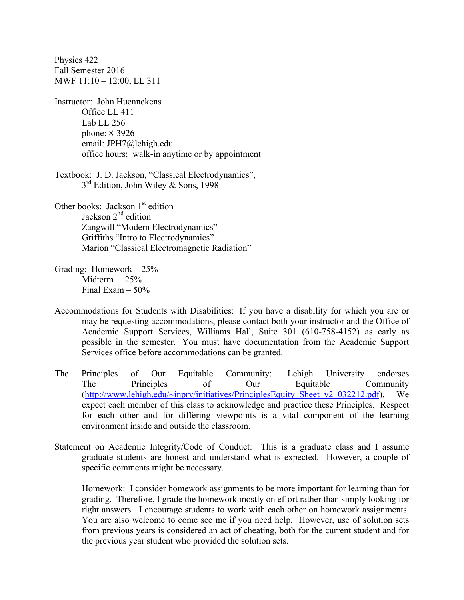Physics 422 Fall Semester 2016 MWF 11:10 – 12:00, LL 311 Instructor: John Huennekens Office LL 411 Lab LL 256 phone: 8-3926 email: JPH7@lehigh.edu office hours: walk-in anytime or by appointment Textbook: J. D. Jackson, "Classical Electrodynamics",  $3<sup>rd</sup>$  Edition, John Wiley & Sons, 1998 Other books: Jackson 1<sup>st</sup> edition Jackson 2<sup>nd</sup> edition

 Zangwill "Modern Electrodynamics" Griffiths "Intro to Electrodynamics" Marion "Classical Electromagnetic Radiation"

- Grading: Homework 25% Midterm  $-25%$ Final Exam  $-50\%$
- Accommodations for Students with Disabilities: If you have a disability for which you are or may be requesting accommodations, please contact both your instructor and the Office of Academic Support Services, Williams Hall, Suite 301 (610-758-4152) as early as possible in the semester. You must have documentation from the Academic Support Services office before accommodations can be granted.
- The Principles of Our Equitable Community:Lehigh University endorses The Principles of Our Equitable Community (http://www.lehigh.edu/~inprv/initiatives/PrinciplesEquity\_Sheet\_v2\_032212.pdf). We expect each member of this class to acknowledge and practice these Principles. Respect for each other and for differing viewpoints is a vital component of the learning environment inside and outside the classroom.
- Statement on Academic Integrity/Code of Conduct: This is a graduate class and I assume graduate students are honest and understand what is expected. However, a couple of specific comments might be necessary.

 Homework: I consider homework assignments to be more important for learning than for grading. Therefore, I grade the homework mostly on effort rather than simply looking for right answers. I encourage students to work with each other on homework assignments. You are also welcome to come see me if you need help. However, use of solution sets from previous years is considered an act of cheating, both for the current student and for the previous year student who provided the solution sets.